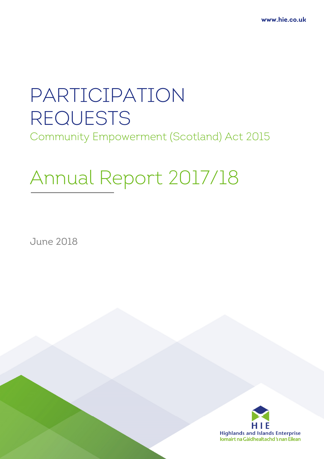# PARTICIPATION REQUESTS Community Empowerment (Scotland) Act 2015

# Annual Report 2017/18

June 2018